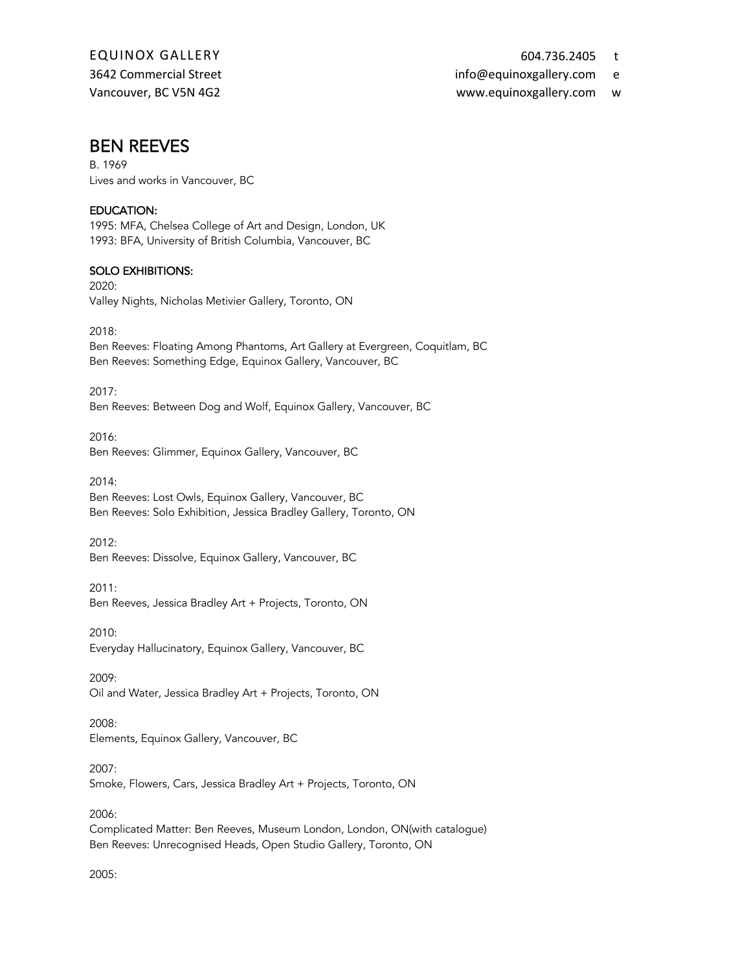3642 Commercial Street info@equinoxgallery.com e

Vancouver, BC V5N 4G2 www.equinoxgallery.com w

### BEN REEVES

B. 1969 Lives and works in Vancouver, BC

#### EDUCATION:

1995: MFA, Chelsea College of Art and Design, London, UK 1993: BFA, University of British Columbia, Vancouver, BC

#### SOLO EXHIBITIONS:

2020: Valley Nights, Nicholas Metivier Gallery, Toronto, ON

2018: Ben Reeves: Floating Among Phantoms, Art Gallery at Evergreen, Coquitlam, BC Ben Reeves: Something Edge, Equinox Gallery, Vancouver, BC

2017: Ben Reeves: Between Dog and Wolf, Equinox Gallery, Vancouver, BC

2016: Ben Reeves: Glimmer, Equinox Gallery, Vancouver, BC

2014: Ben Reeves: Lost Owls, Equinox Gallery, Vancouver, BC Ben Reeves: Solo Exhibition, Jessica Bradley Gallery, Toronto, ON

2012: Ben Reeves: Dissolve, Equinox Gallery, Vancouver, BC

2011: Ben Reeves, Jessica Bradley Art + Projects, Toronto, ON

2010: Everyday Hallucinatory, Equinox Gallery, Vancouver, BC

2009: Oil and Water, Jessica Bradley Art + Projects, Toronto, ON

2008: Elements, Equinox Gallery, Vancouver, BC

2007: Smoke, Flowers, Cars, Jessica Bradley Art + Projects, Toronto, ON

2006: Complicated Matter: Ben Reeves, Museum London, London, ON(with catalogue) Ben Reeves: Unrecognised Heads, Open Studio Gallery, Toronto, ON

2005: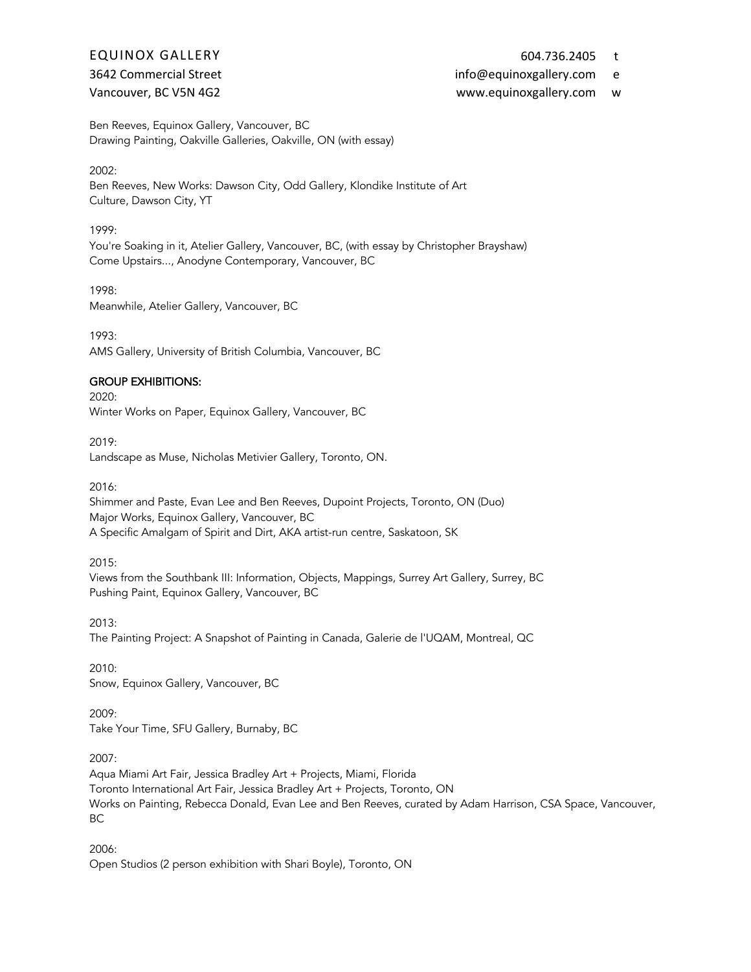- 
- 3642 Commercial Street info@equinoxgallery.com e

#### Vancouver, BC V5N 4G2 www.equinoxgallery.com w

Ben Reeves, Equinox Gallery, Vancouver, BC Drawing Painting, Oakville Galleries, Oakville, ON (with essay)

#### 2002:

Ben Reeves, New Works: Dawson City, Odd Gallery, Klondike Institute of Art Culture, Dawson City, YT

#### 1999:

You're Soaking in it, Atelier Gallery, Vancouver, BC, (with essay by Christopher Brayshaw) Come Upstairs..., Anodyne Contemporary, Vancouver, BC

1998:

Meanwhile, Atelier Gallery, Vancouver, BC

1993: AMS Gallery, University of British Columbia, Vancouver, BC

#### GROUP EXHIBITIONS:

2020:

Winter Works on Paper, Equinox Gallery, Vancouver, BC

2019:

Landscape as Muse, Nicholas Metivier Gallery, Toronto, ON.

2016:

Shimmer and Paste, Evan Lee and Ben Reeves, Dupoint Projects, Toronto, ON (Duo) Major Works, Equinox Gallery, Vancouver, BC A Specific Amalgam of Spirit and Dirt, AKA artist-run centre, Saskatoon, SK

2015:

Views from the Southbank III: Information, Objects, Mappings, Surrey Art Gallery, Surrey, BC Pushing Paint, Equinox Gallery, Vancouver, BC

2013: The Painting Project: A Snapshot of Painting in Canada, Galerie de l'UQAM, Montreal, QC

2010: Snow, Equinox Gallery, Vancouver, BC

2009: Take Your Time, SFU Gallery, Burnaby, BC

2007:

Aqua Miami Art Fair, Jessica Bradley Art + Projects, Miami, Florida Toronto International Art Fair, Jessica Bradley Art + Projects, Toronto, ON Works on Painting, Rebecca Donald, Evan Lee and Ben Reeves, curated by Adam Harrison, CSA Space, Vancouver, BC

2006: Open Studios (2 person exhibition with Shari Boyle), Toronto, ON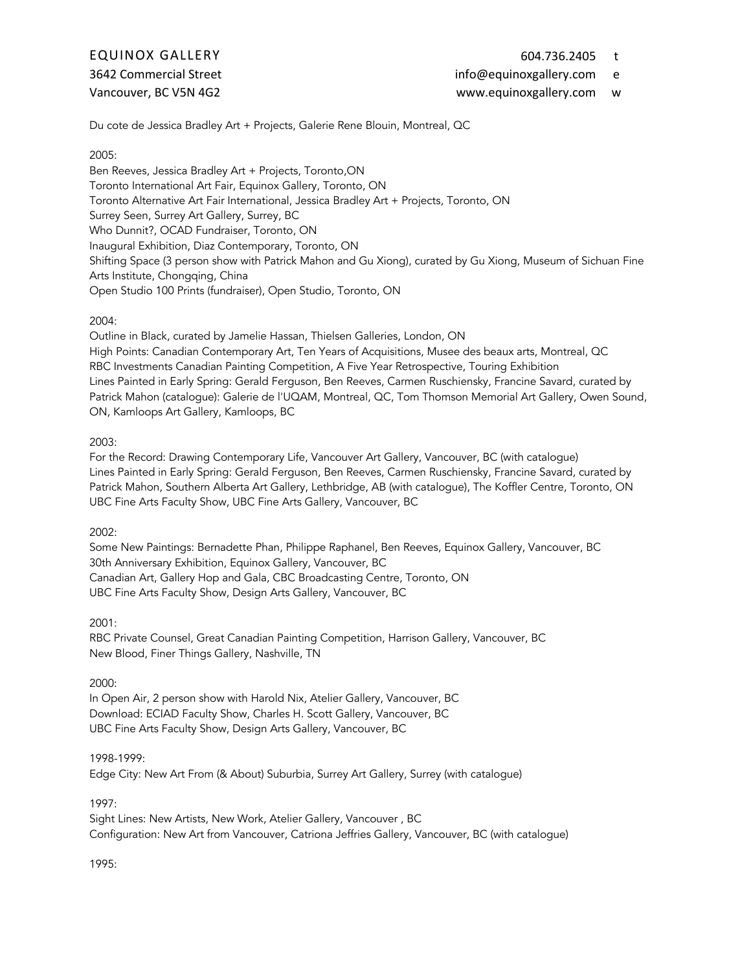3642 Commercial Street info@equinoxgallery.com e

#### Vancouver, BC V5N 4G2 www.equinoxgallery.com w

Du cote de Jessica Bradley Art + Projects, Galerie Rene Blouin, Montreal, QC

#### 2005:

Ben Reeves, Jessica Bradley Art + Projects, Toronto,ON Toronto International Art Fair, Equinox Gallery, Toronto, ON Toronto Alternative Art Fair International, Jessica Bradley Art + Projects, Toronto, ON Surrey Seen, Surrey Art Gallery, Surrey, BC Who Dunnit?, OCAD Fundraiser, Toronto, ON Inaugural Exhibition, Diaz Contemporary, Toronto, ON Shifting Space (3 person show with Patrick Mahon and Gu Xiong), curated by Gu Xiong, Museum of Sichuan Fine Arts Institute, Chongqing, China Open Studio 100 Prints (fundraiser), Open Studio, Toronto, ON

#### 2004:

Outline in Black, curated by Jamelie Hassan, Thielsen Galleries, London, ON High Points: Canadian Contemporary Art, Ten Years of Acquisitions, Musee des beaux arts, Montreal, QC RBC Investments Canadian Painting Competition, A Five Year Retrospective, Touring Exhibition Lines Painted in Early Spring: Gerald Ferguson, Ben Reeves, Carmen Ruschiensky, Francine Savard, curated by Patrick Mahon (catalogue): Galerie de l'UQAM, Montreal, QC, Tom Thomson Memorial Art Gallery, Owen Sound, ON, Kamloops Art Gallery, Kamloops, BC

#### 2003:

For the Record: Drawing Contemporary Life, Vancouver Art Gallery, Vancouver, BC (with catalogue) Lines Painted in Early Spring: Gerald Ferguson, Ben Reeves, Carmen Ruschiensky, Francine Savard, curated by Patrick Mahon, Southern Alberta Art Gallery, Lethbridge, AB (with catalogue), The Koffler Centre, Toronto, ON UBC Fine Arts Faculty Show, UBC Fine Arts Gallery, Vancouver, BC

2002:

Some New Paintings: Bernadette Phan, Philippe Raphanel, Ben Reeves, Equinox Gallery, Vancouver, BC 30th Anniversary Exhibition, Equinox Gallery, Vancouver, BC Canadian Art, Gallery Hop and Gala, CBC Broadcasting Centre, Toronto, ON UBC Fine Arts Faculty Show, Design Arts Gallery, Vancouver, BC

2001:

RBC Private Counsel, Great Canadian Painting Competition, Harrison Gallery, Vancouver, BC New Blood, Finer Things Gallery, Nashville, TN

#### 2000:

In Open Air, 2 person show with Harold Nix, Atelier Gallery, Vancouver, BC Download: ECIAD Faculty Show, Charles H. Scott Gallery, Vancouver, BC UBC Fine Arts Faculty Show, Design Arts Gallery, Vancouver, BC

#### 1998-1999:

Edge City: New Art From (& About) Suburbia, Surrey Art Gallery, Surrey (with catalogue)

1997:

Sight Lines: New Artists, New Work, Atelier Gallery, Vancouver , BC Configuration: New Art from Vancouver, Catriona Jeffries Gallery, Vancouver, BC (with catalogue)

#### 1995: